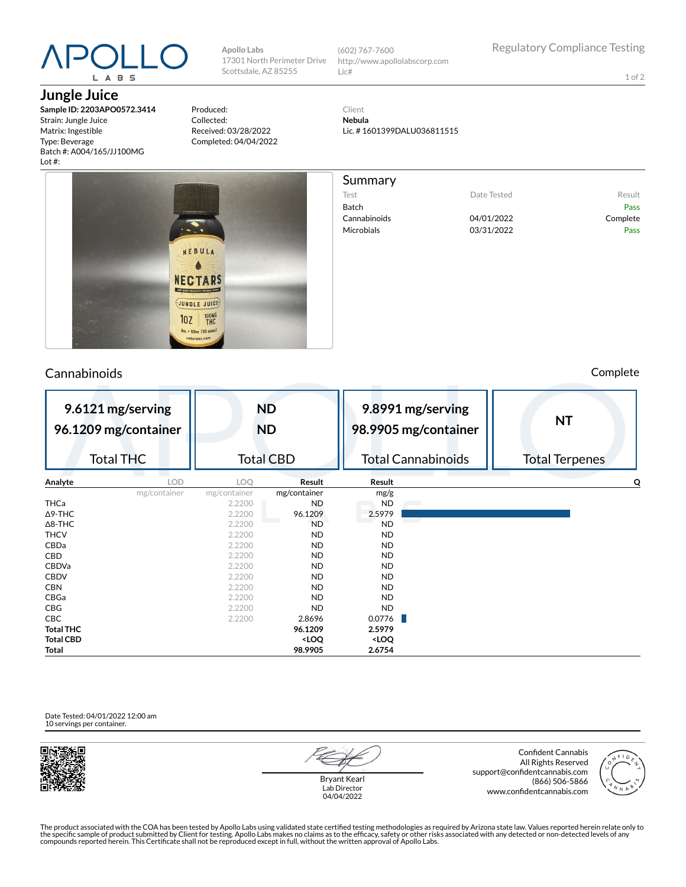## L A B S

**Jungle Juice** 

**Sample ID: 2203APO0572.3414** Strain: Jungle Juice Matrix: Ingestible Type: Beverage Batch #: A004/165/JJ100MG Lot #:

Produced: Collected: Received: 03/28/2022 Completed: 04/04/2022

**Apollo Labs**

Scottsdale, AZ 85255

17301 North Perimeter Drive (602) 767-7600 http://www.apollolabscorp.com Lic#

Summary

Test **Date Tested** Result Batch Pass Cannabinoids 04/01/2022 Complete Microbials 03/31/2022 Pass

1 of 2

Client **Nebula** Lic. # 1601399DALU036811515



## Cannabinoids Complete

| 9.6121 mg/serving<br>96.1209 mg/container<br><b>Total THC</b> |                   | <b>ND</b><br><b>ND</b><br><b>Total CBD</b>               | 9.8991 mg/serving<br>98.9905 mg/container<br><b>Total Cannabinoids</b> | <b>NT</b><br><b>Total Terpenes</b> |
|---------------------------------------------------------------|-------------------|----------------------------------------------------------|------------------------------------------------------------------------|------------------------------------|
| Analyte                                                       | <b>LOD</b><br>LOQ | Result                                                   | Result                                                                 | Q                                  |
| mg/container                                                  | mg/container      | mg/container                                             | mg/g                                                                   |                                    |
| THCa                                                          | 2.2200            | <b>ND</b>                                                | <b>ND</b>                                                              |                                    |
| $\Delta$ 9-THC                                                | 2.2200            | 96.1209                                                  | 2.5979                                                                 |                                    |
| $\Delta$ 8-THC                                                | 2.2200            | <b>ND</b>                                                | <b>ND</b>                                                              |                                    |
| <b>THCV</b>                                                   | 2.2200            | ND                                                       | <b>ND</b>                                                              |                                    |
| CBDa                                                          | 2.2200            | <b>ND</b>                                                | <b>ND</b>                                                              |                                    |
| <b>CBD</b>                                                    | 2.2200            | <b>ND</b>                                                | <b>ND</b>                                                              |                                    |
| <b>CBDVa</b>                                                  | 2.2200            | <b>ND</b>                                                | <b>ND</b>                                                              |                                    |
| <b>CBDV</b>                                                   | 2.2200            | <b>ND</b>                                                | <b>ND</b>                                                              |                                    |
| <b>CBN</b>                                                    | 2.2200            | <b>ND</b>                                                | <b>ND</b>                                                              |                                    |
| CBGa                                                          | 2.2200            | <b>ND</b>                                                | <b>ND</b>                                                              |                                    |
| CBG                                                           | 2.2200            | ND                                                       | <b>ND</b>                                                              |                                    |
| CBC                                                           | 2.2200            | 2.8696                                                   | 0.0776<br>u.                                                           |                                    |
| <b>Total THC</b>                                              |                   | 96.1209                                                  | 2.5979                                                                 |                                    |
| <b>Total CBD</b>                                              |                   | <loq< th=""><th><loq< th=""><th></th></loq<></th></loq<> | <loq< th=""><th></th></loq<>                                           |                                    |
| Total                                                         |                   | 98.9905                                                  | 2.6754                                                                 |                                    |

Date Tested: 04/01/2022 12:00 am 10 servings per container.



Bryant Kearl Lab Director 04/04/2022

Confident Cannabis All Rights Reserved support@confidentcannabis.com (866) 506-5866 www.confidentcannabis.com



The product associated with the COA has been tested by Apollo Labs using validated state certified testing methodologies as required by Arizona state law. Values reported herein relate only to<br>the specific sample of produc